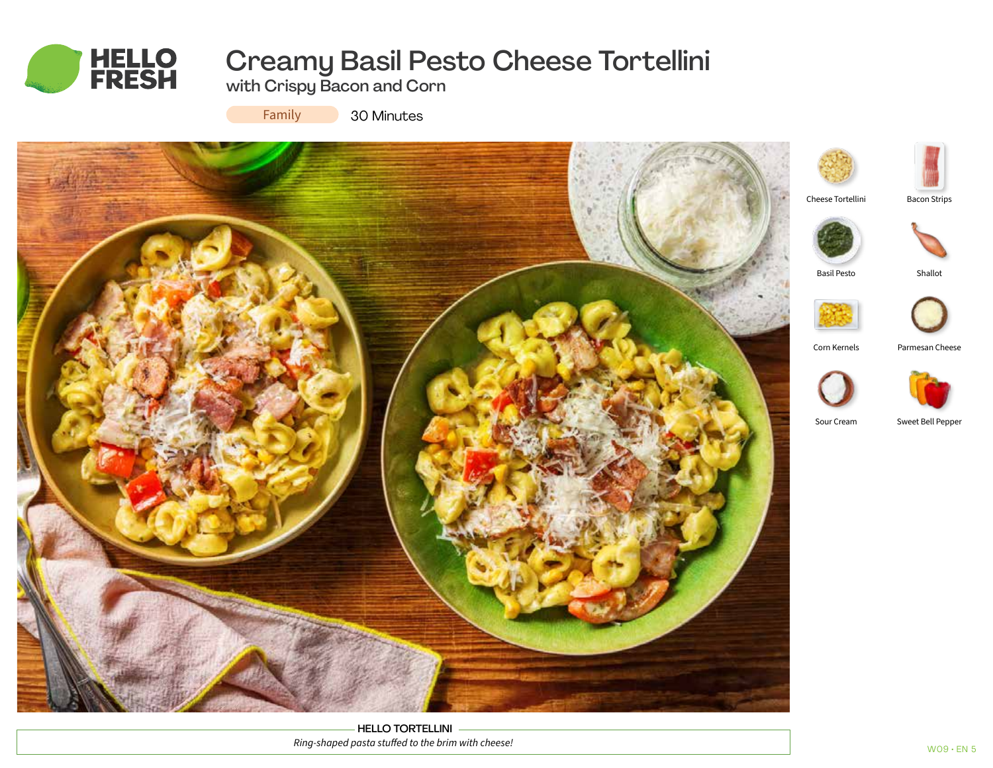

# Creamy Basil Pesto Cheese Tortellini

with Crispy Bacon and Corn

Family

30 Minutes



HELLO TORTELLINI *Ring-shaped pasta stuffed to the brim with cheese!*